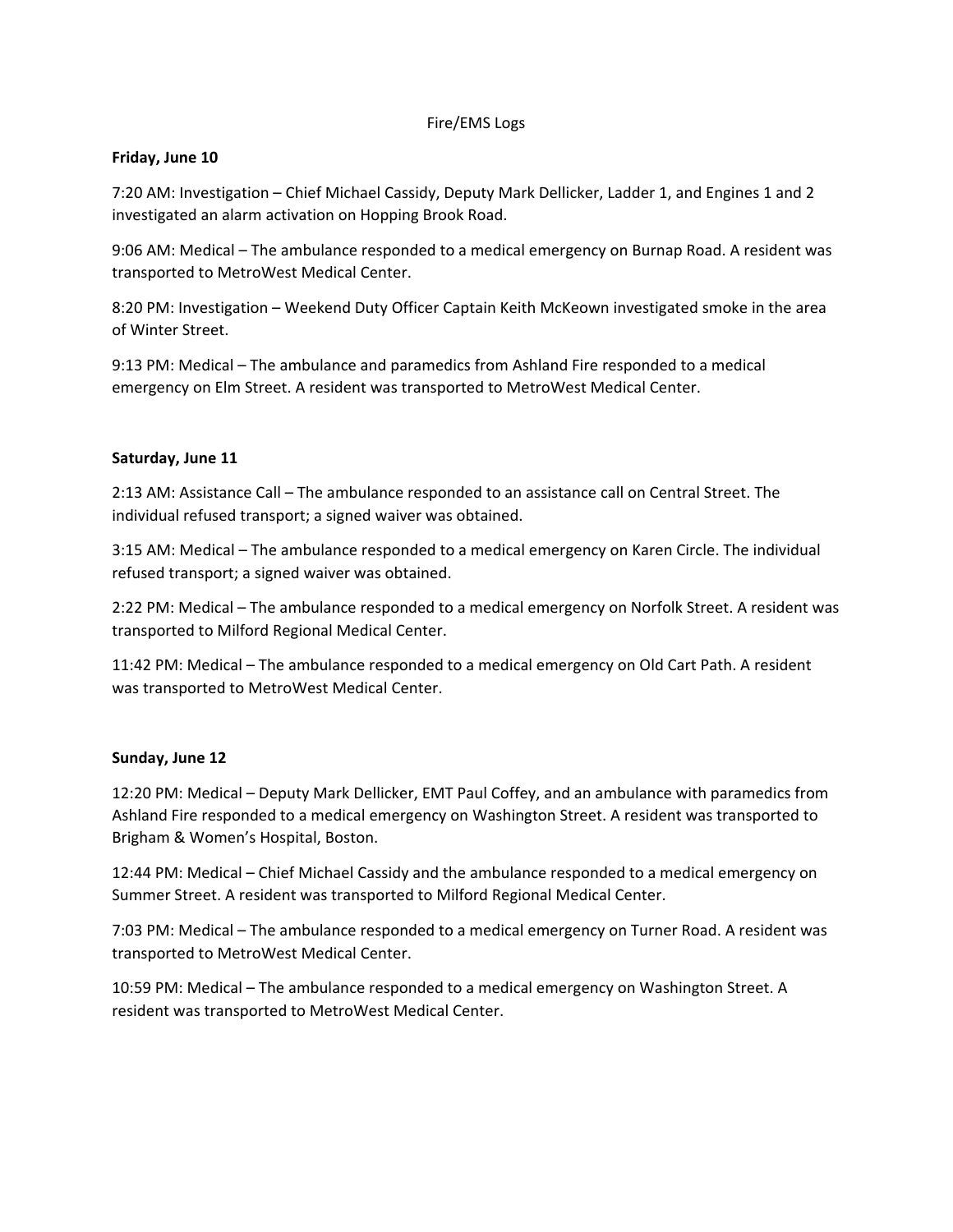### Fire/EMS Logs

### **Friday, June 10**

7:20 AM: Investigation – Chief Michael Cassidy, Deputy Mark Dellicker, Ladder 1, and Engines 1 and 2 investigated an alarm activation on Hopping Brook Road.

9:06 AM: Medical – The ambulance responded to a medical emergency on Burnap Road. A resident was transported to MetroWest Medical Center.

8:20 PM: Investigation – Weekend Duty Officer Captain Keith McKeown investigated smoke in the area of Winter Street.

9:13 PM: Medical – The ambulance and paramedics from Ashland Fire responded to a medical emergency on Elm Street. A resident was transported to MetroWest Medical Center.

### **Saturday, June 11**

2:13 AM: Assistance Call – The ambulance responded to an assistance call on Central Street. The individual refused transport; a signed waiver was obtained.

3:15 AM: Medical – The ambulance responded to a medical emergency on Karen Circle. The individual refused transport; a signed waiver was obtained.

2:22 PM: Medical – The ambulance responded to a medical emergency on Norfolk Street. A resident was transported to Milford Regional Medical Center.

11:42 PM: Medical – The ambulance responded to a medical emergency on Old Cart Path. A resident was transported to MetroWest Medical Center.

#### **Sunday, June 12**

12:20 PM: Medical – Deputy Mark Dellicker, EMT Paul Coffey, and an ambulance with paramedics from Ashland Fire responded to a medical emergency on Washington Street. A resident was transported to Brigham & Women's Hospital, Boston.

12:44 PM: Medical – Chief Michael Cassidy and the ambulance responded to a medical emergency on Summer Street. A resident was transported to Milford Regional Medical Center.

7:03 PM: Medical – The ambulance responded to a medical emergency on Turner Road. A resident was transported to MetroWest Medical Center.

10:59 PM: Medical – The ambulance responded to a medical emergency on Washington Street. A resident was transported to MetroWest Medical Center.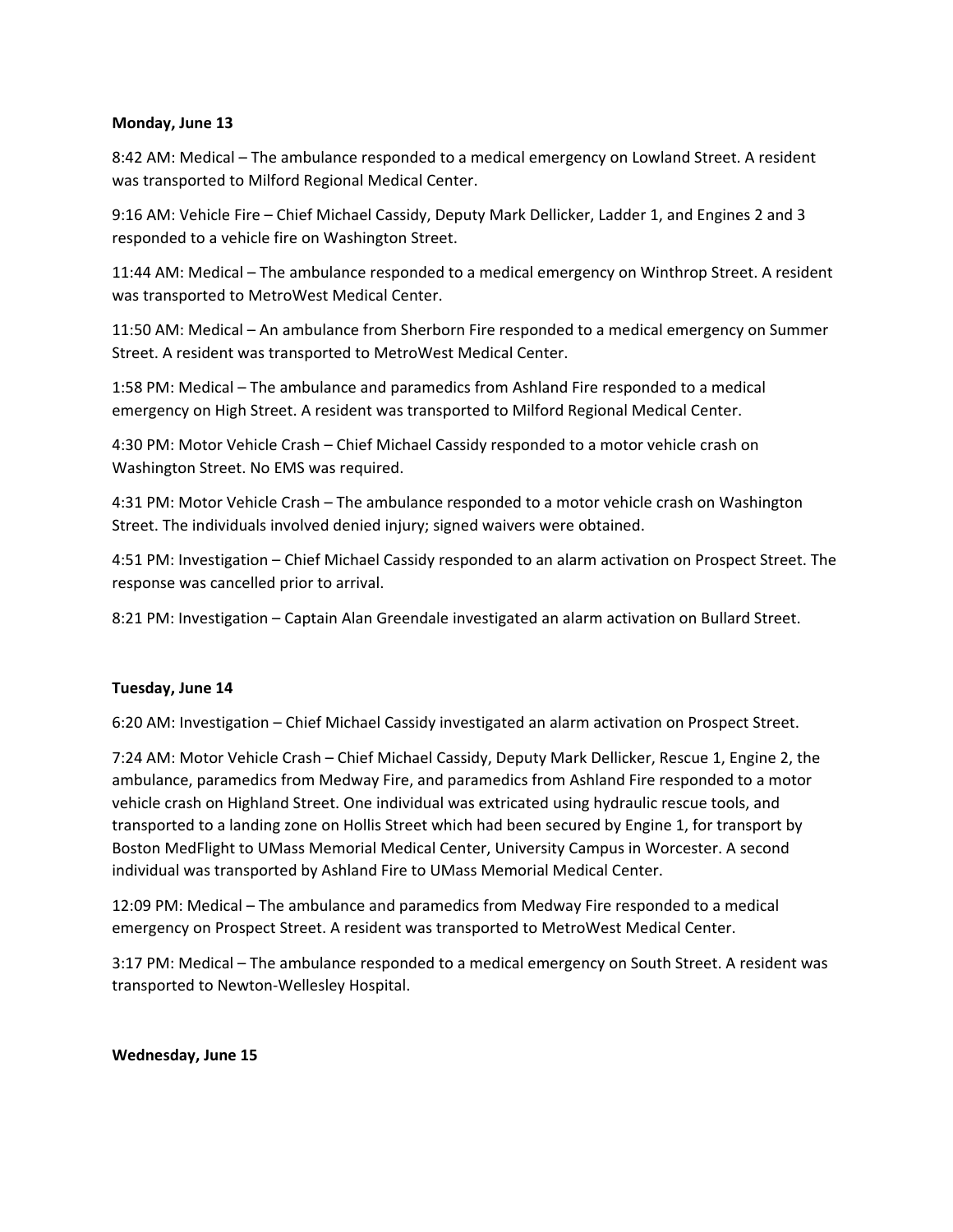#### **Monday, June 13**

8:42 AM: Medical – The ambulance responded to a medical emergency on Lowland Street. A resident was transported to Milford Regional Medical Center.

9:16 AM: Vehicle Fire – Chief Michael Cassidy, Deputy Mark Dellicker, Ladder 1, and Engines 2 and 3 responded to a vehicle fire on Washington Street.

11:44 AM: Medical – The ambulance responded to a medical emergency on Winthrop Street. A resident was transported to MetroWest Medical Center.

11:50 AM: Medical – An ambulance from Sherborn Fire responded to a medical emergency on Summer Street. A resident was transported to MetroWest Medical Center.

1:58 PM: Medical – The ambulance and paramedics from Ashland Fire responded to a medical emergency on High Street. A resident was transported to Milford Regional Medical Center.

4:30 PM: Motor Vehicle Crash – Chief Michael Cassidy responded to a motor vehicle crash on Washington Street. No EMS was required.

4:31 PM: Motor Vehicle Crash – The ambulance responded to a motor vehicle crash on Washington Street. The individuals involved denied injury; signed waivers were obtained.

4:51 PM: Investigation – Chief Michael Cassidy responded to an alarm activation on Prospect Street. The response was cancelled prior to arrival.

8:21 PM: Investigation – Captain Alan Greendale investigated an alarm activation on Bullard Street.

## **Tuesday, June 14**

6:20 AM: Investigation – Chief Michael Cassidy investigated an alarm activation on Prospect Street.

7:24 AM: Motor Vehicle Crash – Chief Michael Cassidy, Deputy Mark Dellicker, Rescue 1, Engine 2, the ambulance, paramedics from Medway Fire, and paramedics from Ashland Fire responded to a motor vehicle crash on Highland Street. One individual was extricated using hydraulic rescue tools, and transported to a landing zone on Hollis Street which had been secured by Engine 1, for transport by Boston MedFlight to UMass Memorial Medical Center, University Campus in Worcester. A second individual was transported by Ashland Fire to UMass Memorial Medical Center.

12:09 PM: Medical – The ambulance and paramedics from Medway Fire responded to a medical emergency on Prospect Street. A resident was transported to MetroWest Medical Center.

3:17 PM: Medical – The ambulance responded to a medical emergency on South Street. A resident was transported to Newton‐Wellesley Hospital.

## **Wednesday, June 15**